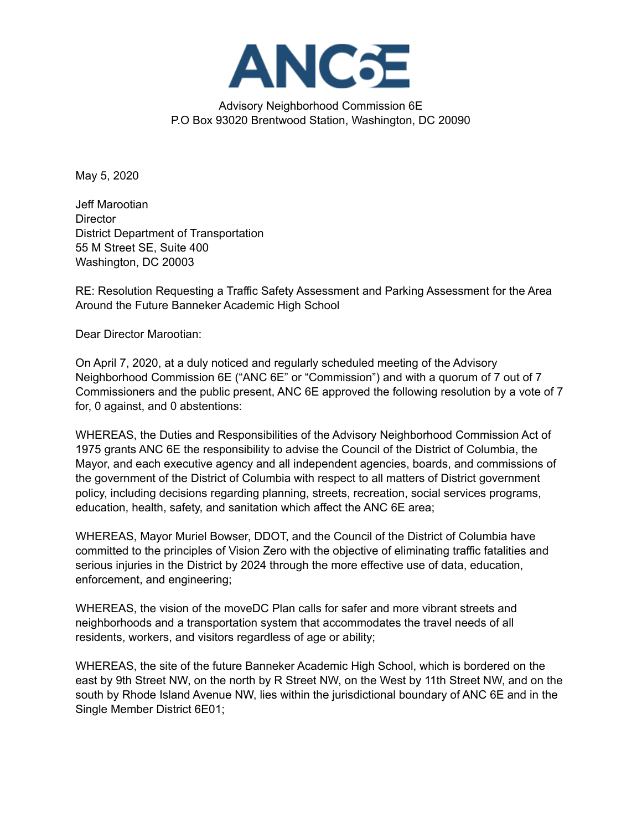

Advisory Neighborhood Commission 6E P.O Box 93020 Brentwood Station, Washington, DC 20090

May 5, 2020

Jeff Marootian **Director** District Department of Transportation 55 M Street SE, Suite 400 Washington, DC 20003

RE: Resolution Requesting a Traffic Safety Assessment and Parking Assessment for the Area Around the Future Banneker Academic High School

Dear Director Marootian:

On April 7, 2020, at a duly noticed and regularly scheduled meeting of the Advisory Neighborhood Commission 6E ("ANC 6E" or "Commission") and with a quorum of 7 out of 7 Commissioners and the public present, ANC 6E approved the following resolution by a vote of 7 for, 0 against, and 0 abstentions:

WHEREAS, the Duties and Responsibilities of the Advisory Neighborhood Commission Act of 1975 grants ANC 6E the responsibility to advise the Council of the District of Columbia, the Mayor, and each executive agency and all independent agencies, boards, and commissions of the government of the District of Columbia with respect to all matters of District government policy, including decisions regarding planning, streets, recreation, social services programs, education, health, safety, and sanitation which affect the ANC 6E area;

WHEREAS, Mayor Muriel Bowser, DDOT, and the Council of the District of Columbia have committed to the principles of Vision Zero with the objective of eliminating traffic fatalities and serious injuries in the District by 2024 through the more effective use of data, education, enforcement, and engineering;

WHEREAS, the vision of the moveDC Plan calls for safer and more vibrant streets and neighborhoods and a transportation system that accommodates the travel needs of all residents, workers, and visitors regardless of age or ability;

WHEREAS, the site of the future Banneker Academic High School, which is bordered on the east by 9th Street NW, on the north by R Street NW, on the West by 11th Street NW, and on the south by Rhode Island Avenue NW, lies within the jurisdictional boundary of ANC 6E and in the Single Member District 6E01;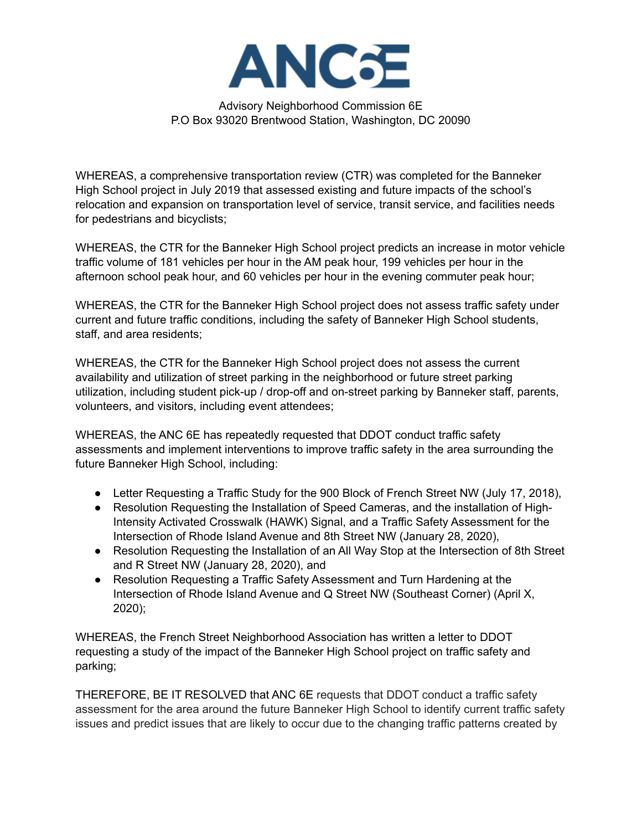

Advisory Neighborhood Commission 6E P.O Box 93020 Brentwood Station, Washington, DC 20090

WHEREAS, a comprehensive transportation review (CTR) was completed for the Banneker High School project in July 2019 that assessed existing and future impacts of the school's relocation and expansion on transportation level of service, transit service, and facilities needs for pedestrians and bicyclists;

WHEREAS, the CTR for the Banneker High School project predicts an increase in motor vehicle traffic volume of 181 vehicles per hour in the AM peak hour, 199 vehicles per hour in the afternoon school peak hour, and 60 vehicles per hour in the evening commuter peak hour;

WHEREAS, the CTR for the Banneker High School project does not assess traffic safety under current and future traffic conditions, including the safety of Banneker High School students, staff, and area residents;

WHEREAS, the CTR for the Banneker High School project does not assess the current availability and utilization of street parking in the neighborhood or future street parking utilization, including student pick-up / drop-off and on-street parking by Banneker staff, parents, volunteers, and visitors, including event attendees;

WHEREAS, the ANC 6E has repeatedly requested that DDOT conduct traffic safety assessments and implement interventions to improve traffic safety in the area surrounding the future Banneker High School, including:

- Letter Requesting a Traffic Study for the 900 Block of French Street NW (July 17, 2018),
- Resolution Requesting the Installation of Speed Cameras, and the installation of High-Intensity Activated Crosswalk (HAWK) Signal, and a Traffic Safety Assessment for the Intersection of Rhode Island Avenue and 8th Street NW (January 28, 2020),
- Resolution Requesting the Installation of an All Way Stop at the Intersection of 8th Street and R Street NW (January 28, 2020), and
- Resolution Requesting a Traffic Safety Assessment and Turn Hardening at the Intersection of Rhode Island Avenue and Q Street NW (Southeast Corner) (April X, 2020);

WHEREAS, the French Street Neighborhood Association has written a letter to DDOT requesting a study of the impact of the Banneker High School project on traffic safety and parking;

THEREFORE, BE IT RESOLVED that ANC 6E requests that DDOT conduct a traffic safety assessment for the area around the future Banneker High School to identify current traffic safety issues and predict issues that are likely to occur due to the changing traffic patterns created by